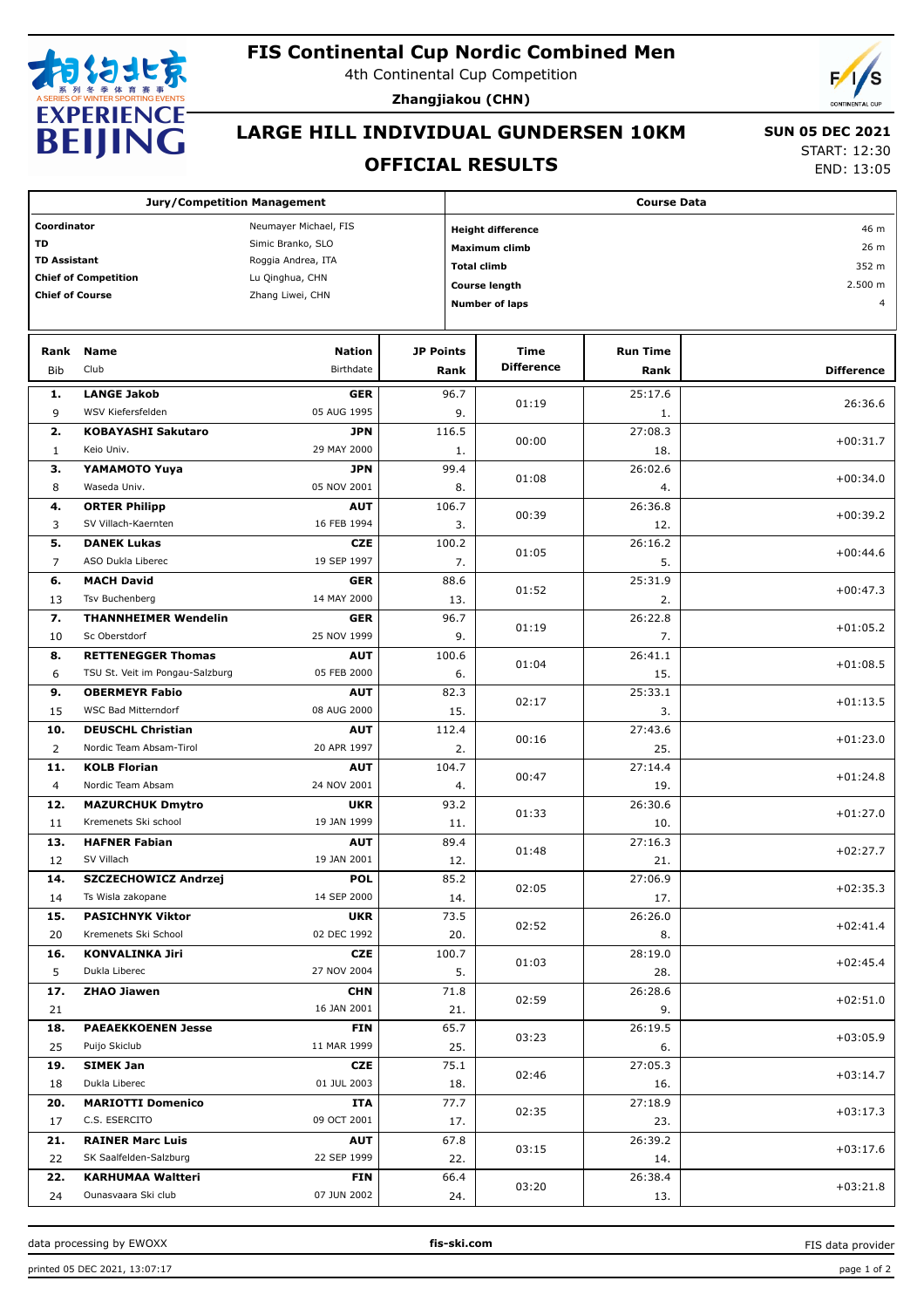

### **FIS Continental Cup Nordic Combined Men**

4th Continental Cup Competition

**Zhangjiakou (CHN)**



# **LARGE HILL INDIVIDUAL GUNDERSEN 10KM**

 **SUN 05 DEC 2021**

 $12:30$ 13:05

|                             | DEIJIINU                           |                       |                  |                    | <b>OFFICIAL RESULTS</b>  |                 | <b>START: 12:30</b><br>END: 13:0 |  |  |
|-----------------------------|------------------------------------|-----------------------|------------------|--------------------|--------------------------|-----------------|----------------------------------|--|--|
|                             | <b>Jury/Competition Management</b> |                       |                  | <b>Course Data</b> |                          |                 |                                  |  |  |
| Coordinator                 |                                    | Neumayer Michael, FIS |                  |                    | <b>Height difference</b> | 46 m            |                                  |  |  |
| <b>TD</b>                   |                                    | Simic Branko, SLO     |                  |                    | <b>Maximum climb</b>     | 26 m            |                                  |  |  |
| <b>TD Assistant</b>         |                                    | Roggia Andrea, ITA    |                  | <b>Total climb</b> |                          | 352 m           |                                  |  |  |
| <b>Chief of Competition</b> |                                    | Lu Qinghua, CHN       |                  |                    | <b>Course length</b>     |                 | 2.500 m                          |  |  |
| <b>Chief of Course</b>      |                                    | Zhang Liwei, CHN      |                  |                    | <b>Number of laps</b>    | $\overline{a}$  |                                  |  |  |
| Rank                        | <b>Name</b>                        | <b>Nation</b>         | <b>JP Points</b> |                    | Time                     | <b>Run Time</b> |                                  |  |  |
| Bib                         | Club                               | Birthdate             | Rank             |                    | <b>Difference</b>        | Rank            | <b>Difference</b>                |  |  |
| 1.                          | <b>LANGE Jakob</b>                 | <b>GER</b>            |                  | 96.7               | 01:19                    | 25:17.6         | 26:36.6                          |  |  |
| 9                           | WSV Kiefersfelden                  | 05 AUG 1995           |                  | 9.                 |                          | 1.              |                                  |  |  |
| 2.                          | <b>KOBAYASHI Sakutaro</b>          | <b>JPN</b>            | 116.5            |                    |                          | 27:08.3         | $+00:31.7$                       |  |  |
| 1                           | Keio Univ.                         | 29 MAY 2000           |                  | 1.                 | 00:00                    | 18.             |                                  |  |  |
| 3.                          | YAMAMOTO Yuya                      | <b>JPN</b>            |                  | 99.4               | 01:08                    | 26:02.6         | $+00:34.0$                       |  |  |
| 8                           | Waseda Univ.                       | 05 NOV 2001           |                  | 8.                 |                          | 4.              |                                  |  |  |
| 4.                          | <b>ORTER Philipp</b>               | <b>AUT</b>            | 106.7            |                    | 00:39                    | 26:36.8         | $+00:39.2$                       |  |  |
| 3                           | SV Villach-Kaernten                | 16 FEB 1994           |                  | 3.                 |                          | 12.             |                                  |  |  |
| 5.                          | <b>DANEK Lukas</b>                 | <b>CZE</b>            | 100.2            |                    | 01:05                    | 26:16.2         | $+00:44.6$                       |  |  |
| $\overline{7}$              | ASO Dukla Liberec                  | 19 SEP 1997           |                  | 7.                 |                          | 5.              |                                  |  |  |
| 6.                          | <b>MACH David</b>                  | GER                   |                  | 88.6               | 01:52                    | 25:31.9         | $+00:47.3$                       |  |  |
| 13                          | <b>Tsv Buchenberg</b>              | 14 MAY 2000           |                  | 13.                |                          | 2.              |                                  |  |  |
| 7.                          | <b>THANNHEIMER Wendelin</b>        | GER                   |                  | 96.7               | 01:19                    | 26:22.8         | $+01:05.2$                       |  |  |
| 10                          | Sc Oberstdorf                      | 25 NOV 1999           |                  | 9.                 |                          | 7.              |                                  |  |  |
| 8.                          | <b>RETTENEGGER Thomas</b>          | <b>AUT</b>            | 100.6            |                    | 01:04                    | 26:41.1         | $+01:08.5$                       |  |  |
| 6                           | TSU St. Veit im Pongau-Salzburg    | 05 FEB 2000           |                  | 6.                 |                          | 15.             |                                  |  |  |
| 9.                          | <b>OBERMEYR Fabio</b>              | <b>AUT</b>            |                  | 82.3               | 02:17                    | 25:33.1         | $+01:13.5$                       |  |  |
| 15                          | <b>WSC Bad Mitterndorf</b>         | 08 AUG 2000           |                  | 15.                |                          | 3.              |                                  |  |  |
| 10.                         | <b>DEUSCHL Christian</b>           | <b>AUT</b>            | 112.4            |                    | 00:16                    | 27:43.6         | $+01:23.0$                       |  |  |
| 2                           | Nordic Team Absam-Tirol            | 20 APR 1997           |                  | 2.                 |                          | 25.             |                                  |  |  |
| 11.                         | <b>KOLB Florian</b>                | <b>AUT</b>            | 104.7            |                    | 00:47                    | 27:14.4         | $+01:24.8$                       |  |  |
| 4                           | Nordic Team Absam                  | 24 NOV 2001           |                  | 4.                 |                          | 19.             |                                  |  |  |
| 12.                         | <b>MAZURCHUK Dmytro</b>            | <b>UKR</b>            |                  | 93.2               | 01:33                    | 26:30.6         | $+01:27.0$                       |  |  |
| 11                          | Kremenets Ski school               | 19 JAN 1999           |                  | 11.                |                          | 10.             |                                  |  |  |
| 13.                         | <b>HAFNER Fabian</b>               | <b>AUT</b>            |                  | 89.4               | 01:48                    | 27:16.3         | $+02:27.7$                       |  |  |
| 12                          | SV Villach                         | 19 JAN 2001           |                  | 12.                |                          | 21.             |                                  |  |  |
| 14.                         | <b>SZCZECHOWICZ Andrzej</b>        | <b>POL</b>            |                  | 85.2               | 02:05                    | 27:06.9         | $+02:35.3$                       |  |  |
| 14                          | Ts Wisla zakopane                  | 14 SEP 2000           |                  | 14.                |                          | 17.             |                                  |  |  |
| 15.                         | <b>PASICHNYK Viktor</b>            | <b>UKR</b>            |                  | 73.5               | 02:52                    | 26:26.0         | $+02:41.4$                       |  |  |
| 20                          | Kremenets Ski School               | 02 DEC 1992           |                  | 20.                |                          | 8.              |                                  |  |  |
| 16.                         | <b>KONVALINKA Jiri</b>             | CZE                   | 100.7            |                    | 01:03                    | 28:19.0         | $+02:45.4$                       |  |  |
| 5                           | Dukla Liberec                      | 27 NOV 2004           |                  | 5.                 |                          | 28.             |                                  |  |  |
| 17.                         | <b>ZHAO Jiawen</b>                 | <b>CHN</b>            |                  | 71.8               | 02:59                    | 26:28.6         | $+02:51.0$                       |  |  |
| 21                          |                                    | 16 JAN 2001           |                  | 21.                |                          | 9.              |                                  |  |  |
| 18.                         | <b>PAEAEKKOENEN Jesse</b>          | <b>FIN</b>            |                  | 65.7               | 03:23                    | 26:19.5         | $+03:05.9$                       |  |  |
| 25                          | Puijo Skiclub                      | 11 MAR 1999           |                  | 25.                |                          | 6.              |                                  |  |  |
| 19.                         | <b>SIMEK Jan</b>                   | CZE                   |                  | 75.1               | 02:46                    | 27:05.3         | $+03:14.7$                       |  |  |
| 18                          | Dukla Liberec                      | 01 JUL 2003           |                  | 18.                |                          | 16.             |                                  |  |  |
| 20.                         | <b>MARIOTTI Domenico</b>           | ITA                   |                  | 77.7               | 02:35                    | 27:18.9         | $+03:17.3$                       |  |  |
| 17                          | C.S. ESERCITO                      | 09 OCT 2001           |                  | 17.                |                          | 23.             |                                  |  |  |

C.S. ESERCITO 17 09 OCT 2001

SK Saalfelden-Salzburg 22 22 SEP 1999

Ounasvaara Ski club 24 07 JUN 2002

**RAINER Marc Luis 21.** 67.8

**KARHUMAA Waltteri 22.** 66.4

**AUT**

**FIN**

22.

24.

03:15

03:20

26:39.2 14.

26:38.4 13.

+03:17.6

+03:21.8